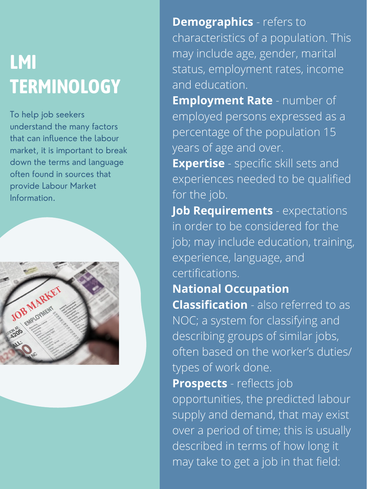## **LMI TERMINOLOGY**

To help job seekers understand the many factors that can influence the labour market, it is important to break down the terms and language often found in sources that provide Labour Market Information.

**Demographics** - refers to characteristics of a population. This may include age, gender, marital status, employment rates, income and education. **Employment Rate** - number of employed persons expressed as a percentage of the population 15 years of age and over. **Expertise** - specific skill sets and experiences needed to be qualified for the job. **Job Requirements** - expectations in order to be considered for the job; may include education, training, experience, language, and certifications. **National Occupation Classification** - also referred to as NOC; a system for classifying and describing groups of similar jobs, often based on the worker's duties/ types of work done. **Prospects** - reflects job opportunities, the predicted labour supply and demand, that may exist over a period of time; this is usually described in terms of how long it may take to get a job in that field: